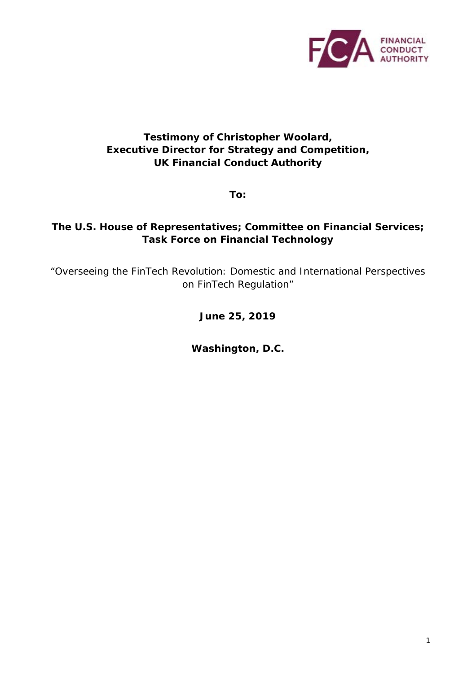

#### **Testimony of Christopher Woolard, Executive Director for Strategy and Competition, UK Financial Conduct Authority**

**To:** 

#### **The U.S. House of Representatives; Committee on Financial Services; Task Force on Financial Technology**

*"Overseeing the FinTech Revolution: Domestic and International Perspectives on FinTech Regulation"*

**June 25, 2019**

**Washington, D.C.**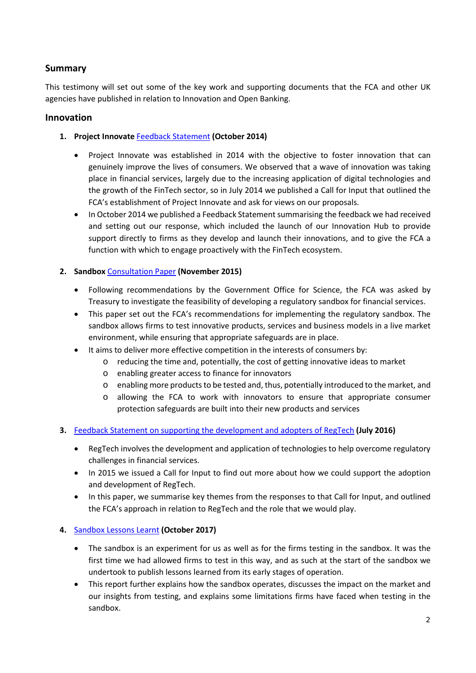#### **Summary**

This testimony will set out some of the key work and supporting documents that the FCA and other UK agencies have published in relation to Innovation and Open Banking.

#### **Innovation**

- **1. Project Innovate** [Feedback Statement](https://www.fca.org.uk/publication/feedback/fs-14-2.pdf) **(October 2014)**
	- Project Innovate was established in 2014 with the objective to foster innovation that can genuinely improve the lives of consumers. We observed that a wave of innovation was taking place in financial services, largely due to the increasing application of digital technologies and the growth of the FinTech sector, so in July 2014 we published a Call for Input that outlined the FCA's establishment of Project Innovate and ask for views on our proposals.
	- In October 2014 we published a Feedback Statement summarising the feedback we had received and setting out our response, which included the launch of our Innovation Hub to provide support directly to firms as they develop and launch their innovations, and to give the FCA a function with which to engage proactively with the FinTech ecosystem.

#### **2. Sandbox** [Consultation Paper](https://www.fca.org.uk/publication/research/regulatory-sandbox.pdf) **(November 2015)**

- Following recommendations by the Government Office for Science, the FCA was asked by Treasury to investigate the feasibility of developing a regulatory sandbox for financial services.
- This paper set out the FCA's recommendations for implementing the regulatory sandbox. The sandbox allows firms to test innovative products, services and business models in a live market environment, while ensuring that appropriate safeguards are in place.
	- It aims to deliver more effective competition in the interests of consumers by:
		- o reducing the time and, potentially, the cost of getting innovative ideas to market
		- o enabling greater access to finance for innovators
		- o enabling more products to be tested and, thus, potentially introduced to the market, and
		- o allowing the FCA to work with innovators to ensure that appropriate consumer protection safeguards are built into their new products and services
- **3.** [Feedback Statement on supporting the development and adopters of RegTech](https://www.fca.org.uk/publication/feedback/fs-16-04.pdf) **(July 2016)**
	- RegTech involves the development and application of technologies to help overcome regulatory challenges in financial services.
	- In 2015 we issued a Call for Input to find out more about how we could support the adoption and development of RegTech.
	- In this paper, we summarise key themes from the responses to that Call for Input, and outlined the FCA's approach in relation to RegTech and the role that we would play.

#### **4.** [Sandbox Lessons Learnt](https://www.fca.org.uk/publication/research-and-data/regulatory-sandbox-lessons-learned-report.pdf) **(October 2017)**

- The sandbox is an experiment for us as well as for the firms testing in the sandbox. It was the first time we had allowed firms to test in this way, and as such at the start of the sandbox we undertook to publish lessons learned from its early stages of operation.
- This report further explains how the sandbox operates, discusses the impact on the market and our insights from testing, and explains some limitations firms have faced when testing in the sandbox.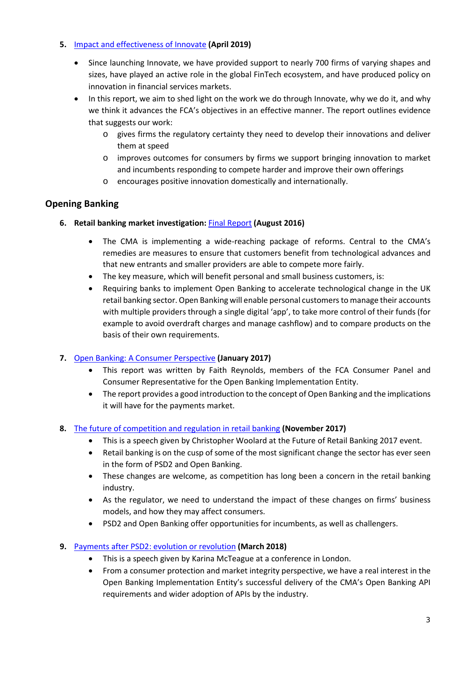#### **5.** [Impact and effectiveness of Innovate](https://www.fca.org.uk/publication/research/the-impact-and-effectiveness-of-innovate.pdf) **(April 2019)**

- Since launching Innovate, we have provided support to nearly 700 firms of varying shapes and sizes, have played an active role in the global FinTech ecosystem, and have produced policy on innovation in financial services markets.
- In this report, we aim to shed light on the work we do through Innovate, why we do it, and why we think it advances the FCA's objectives in an effective manner. The report outlines evidence that suggests our work:
	- o gives firms the regulatory certainty they need to develop their innovations and deliver them at speed
	- o improves outcomes for consumers by firms we support bringing innovation to market and incumbents responding to compete harder and improve their own offerings
	- o encourages positive innovation domestically and internationally.

#### **Opening Banking**

- **6. Retail banking market investigation:** [Final Report](https://assets.publishing.service.gov.uk/media/57ac9667e5274a0f6c00007a/retail-banking-market-investigation-full-final-report.pdf) **(August 2016)** 
	- The CMA is implementing a [wide-reaching package of reforms.](https://www.gov.uk/government/publications/retail-banking-market-investigation-overview) Central to the CMA's remedies are measures to ensure that customers benefit from technological advances and that new entrants and smaller providers are able to compete more fairly.
	- The key measure, which will benefit personal and small business customers, is:
	- Requiring banks to implement Open Banking to accelerate technological change in the UK retail banking sector. Open Banking will enable personal customers to manage their accounts with multiple providers through a single digital 'app', to take more control of their funds (for example to avoid overdraft charges and manage cashflow) and to compare products on the basis of their own requirements.

#### **7.** [Open Banking: A Consumer Perspective](https://www.openbanking.org.uk/wp-content/uploads/Open-Banking-A-Consumer-Perspective.pdf) **(January 2017)**

- This report was written by Faith Reynolds, members of the FCA Consumer Panel and Consumer Representative for the Open Banking Implementation Entity.
- The report provides a good introduction to the concept of Open Banking and the implications it will have for the payments market.
- **8.** [The future of competition and regulation in retail banking](https://www.fca.org.uk/news/speeches/future-competition-and-regulation-retail-banking) **(November 2017)**
	- This is a speech given by Christopher Woolard at the Future of Retail Banking 2017 event.
	- Retail banking is on the cusp of some of the most significant change the sector has ever seen in the form of PSD2 and Open Banking.
	- These changes are welcome, as competition has long been a concern in the retail banking industry.
	- As the regulator, we need to understand the impact of these changes on firms' business models, and how they may affect consumers.
	- PSD2 and Open Banking offer opportunities for incumbents, as well as challengers.
- **9.** [Payments after PSD2: evolution or revolution](https://www.fca.org.uk/news/speeches/payments-after-psd2-evolution-or-revolution) **(March 2018)** 
	- This is a speech given by Karina McTeague at a conference in London.
	- From a consumer protection and market integrity perspective, we have a real interest in the Open Banking Implementation Entity's successful delivery of the CMA's Open Banking API requirements and wider adoption of APIs by the industry.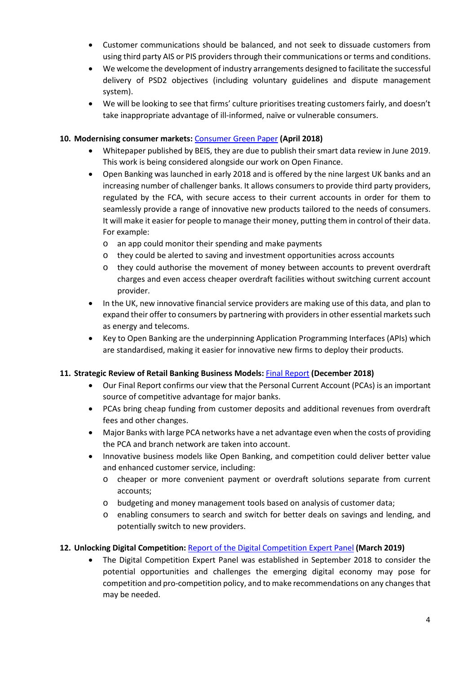- Customer communications should be balanced, and not seek to dissuade customers from using third party AIS or PIS providers through their communications or terms and conditions.
- We welcome the development of industry arrangements designed to facilitate the successful delivery of PSD2 objectives (including voluntary guidelines and dispute management system).
- We will be looking to see that firms' culture prioritises treating customers fairly, and doesn't take inappropriate advantage of ill-informed, naïve or vulnerable consumers.

#### **10. Modernising consumer markets:** [Consumer Green Paper](https://assets.publishing.service.gov.uk/government/uploads/system/uploads/attachment_data/file/699937/modernising-consumer-markets-green-paper.pdf) **(April 2018)**

- Whitepaper published by BEIS, they are due to publish their smart data review in June 2019. This work is being considered alongside our work on Open Finance.
- Open Banking was launched in early 2018 and is offered by the nine largest UK banks and an increasing number of challenger banks. It allows consumers to provide third party providers, regulated by the FCA, with secure access to their current accounts in order for them to seamlessly provide a range of innovative new products tailored to the needs of consumers. It will make it easier for people to manage their money, putting them in control of their data. For example:
	- o an app could monitor their spending and make payments
	- o they could be alerted to saving and investment opportunities across accounts
	- o they could authorise the movement of money between accounts to prevent overdraft charges and even access cheaper overdraft facilities without switching current account provider.
- In the UK, new innovative financial service providers are making use of this data, and plan to expand their offer to consumers by partnering with providers in other essential markets such as energy and telecoms.
- Key to Open Banking are the underpinning Application Programming Interfaces (APIs) which are standardised, making it easier for innovative new firms to deploy their products.

#### **11. Strategic Review of Retail Banking Business Models:** [Final Report](https://www.fca.org.uk/publication/multi-firm-reviews/strategic-review-retail-banking-business-models-final-report.pdf) **(December 2018)**

- Our Final Report confirms our view that the Personal Current Account (PCAs) is an important source of competitive advantage for major banks.
- PCAs bring cheap funding from customer deposits and additional revenues from overdraft fees and other changes.
- Major Banks with large PCA networks have a net advantage even when the costs of providing the PCA and branch network are taken into account.
- Innovative business models like Open Banking, and competition could deliver better value and enhanced customer service, including:
	- o cheaper or more convenient payment or overdraft solutions separate from current accounts;
	- o budgeting and money management tools based on analysis of customer data;
	- o enabling consumers to search and switch for better deals on savings and lending, and potentially switch to new providers.

#### **12. Unlocking Digital Competition:** [Report of the Digital Competition Expert Panel](https://assets.publishing.service.gov.uk/government/uploads/system/uploads/attachment_data/file/785547/unlocking_digital_competition_furman_review_web.pdf) **(March 2019)**

• The Digital Competition Expert Panel was established in September 2018 to consider the potential opportunities and challenges the emerging digital economy may pose for competition and pro-competition policy, and to make recommendations on any changes that may be needed.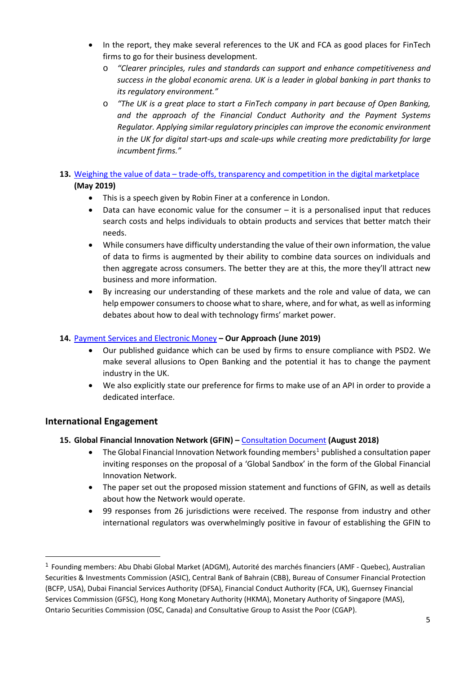- In the report, they make several references to the UK and FCA as good places for FinTech firms to go for their business development.
	- o *"Clearer principles, rules and standards can support and enhance competitiveness and success in the global economic arena. UK is a leader in global banking in part thanks to its regulatory environment."*
	- o *"The UK is a great place to start a FinTech company in part because of Open Banking, and the approach of the Financial Conduct Authority and the Payment Systems Regulator. Applying similar regulatory principles can improve the economic environment in the UK for digital start-ups and scale-ups while creating more predictability for large incumbent firms."*

#### **13.** Weighing the value of data – [trade-offs, transparency and competition in the digital marketplace](https://www.fca.org.uk/news/speeches/weighing-value-data-digital-marketplace) **(May 2019)**

- This is a speech given by Robin Finer at a conference in London.
- Data can have economic value for the consumer it is a personalised input that reduces search costs and helps individuals to obtain products and services that better match their needs.
- While consumers have difficulty understanding the value of their own information, the value of data to firms is augmented by their ability to combine data sources on individuals and then aggregate across consumers. The better they are at this, the more they'll attract new business and more information.
- By increasing our understanding of these markets and the role and value of data, we can help empower consumers to choose what to share, where, and for what, as well as informing debates about how to deal with technology firms' market power.

#### **14.** [Payment Services and Electronic Money](https://www.fca.org.uk/publication/finalised-guidance/fca-approach-payment-services-electronic-money-2017.pdf) **– Our Approach (June 2019)**

- Our published guidance which can be used by firms to ensure compliance with PSD2. We make several allusions to Open Banking and the potential it has to change the payment industry in the UK.
- We also explicitly state our preference for firms to make use of an API in order to provide a dedicated interface.

#### **International Engagement**

#### **15. Global Financial Innovation Network (GFIN) –** [Consultation Document](https://www.fca.org.uk/publication/consultation/gfin-consultation-document.pdf) **(August 2018)**

- The Global Financial Innovation Network founding members<sup>[1](#page-4-0)</sup> published a consultation paper inviting responses on the proposal of a 'Global Sandbox' in the form of the Global Financial Innovation Network.
- The paper set out the proposed mission statement and functions of GFIN, as well as details about how the Network would operate.
- 99 responses from 26 jurisdictions were received. The response from industry and other international regulators was overwhelmingly positive in favour of establishing the GFIN to

<span id="page-4-0"></span> $1$  Founding members: Abu Dhabi Global Market (ADGM), Autorité des marchés financiers (AMF - Quebec), Australian Securities & Investments Commission (ASIC), Central Bank of Bahrain (CBB), Bureau of Consumer Financial Protection (BCFP, USA), Dubai Financial Services Authority (DFSA), Financial Conduct Authority (FCA, UK), Guernsey Financial Services Commission (GFSC), Hong Kong Monetary Authority (HKMA), Monetary Authority of Singapore (MAS), Ontario Securities Commission (OSC, Canada) and Consultative Group to Assist the Poor (CGAP).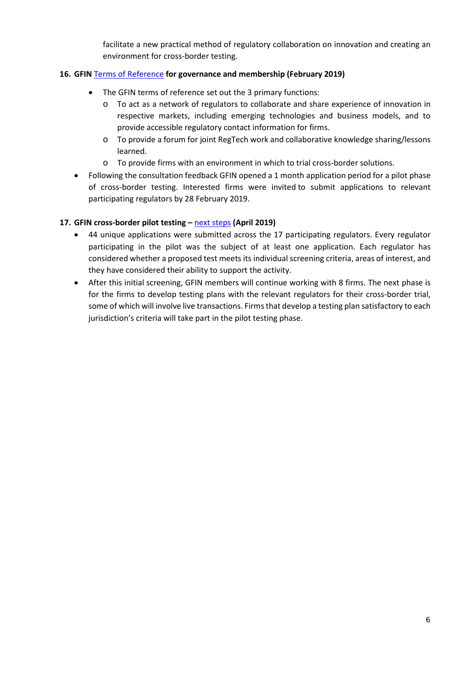facilitate a new practical method of regulatory collaboration on innovation and creating an environment for cross-border testing.

#### **16. GFIN** [Terms of Reference](https://www.fca.org.uk/publication/mou/gfin-terms-of-reference.pdf) **for governance and membership (February 2019)**

- The GFIN terms of reference set out the 3 primary functions:
	- o To act as a network of regulators to collaborate and share experience of innovation in respective markets, including emerging technologies and business models, and to provide accessible regulatory contact information for firms.
	- o To provide a forum for joint RegTech work and collaborative knowledge sharing/lessons learned.
	- o To provide firms with an environment in which to trial cross-border solutions.
- Following the consultation feedback GFIN opened a 1 month application period for a pilot phase of cross-border testing. Interested firms were invited to submit applications to relevant participating regulators by 28 February 2019.

#### **17. GFIN cross-border pilot testing –** [next steps](https://www.fca.org.uk/firms/gfin-cross-border-testing-pilot-next-steps) **(April 2019)**

- 44 unique applications were submitted across the 17 participating regulators. Every regulator participating in the pilot was the subject of at least one application. Each regulator has considered whether a proposed test meets its individual screening criteria, areas of interest, and they have considered their ability to support the activity.
- After this initial screening, GFIN members will continue working with 8 firms. The next phase is for the firms to develop testing plans with the relevant regulators for their cross-border trial, some of which will involve live transactions. Firms that develop a testing plan satisfactory to each jurisdiction's criteria will take part in the pilot testing phase.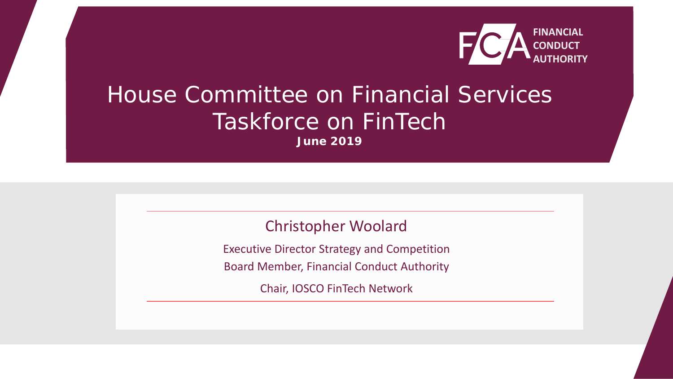

# House Committee on Financial Services Taskforce on FinTech

**June 2019**

### Christopher Woolard

Executive Director Strategy and Competition

Board Member, Financial Conduct Authority

Chair, IOSCO FinTech Network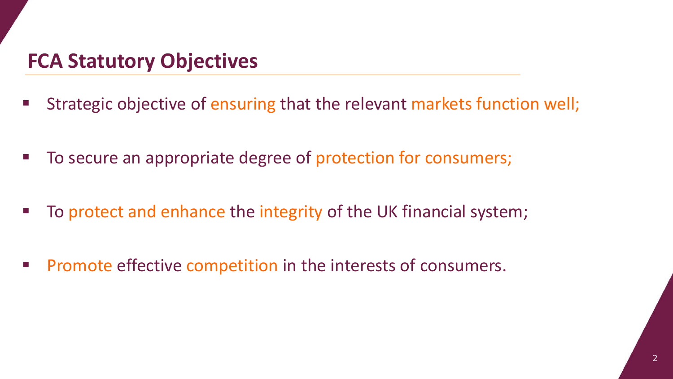## **FCA Statutory Objectives**

- Strategic objective of ensuring that the relevant markets function well;
- To secure an appropriate degree of protection for consumers;
- To protect and enhance the integrity of the UK financial system;
- **Promote effective competition in the interests of consumers.**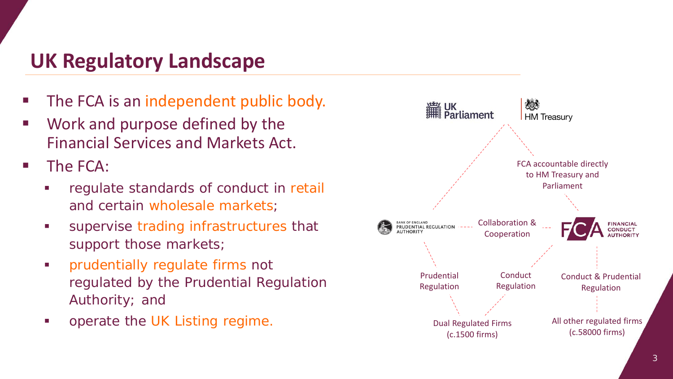### **UK Regulatory Landscape**

- The FCA is an independent public body.
- Work and purpose defined by the Financial Services and Markets Act.
- **The FCA:** 
	- regulate standards of conduct in retail and certain wholesale markets;
	- **Supervise trading infrastructures that** support those markets;
	- **Fuller 1.5 Follow Product** Firms not regulated by the Prudential Regulation Authority; and
	- operate the UK Listing regime.

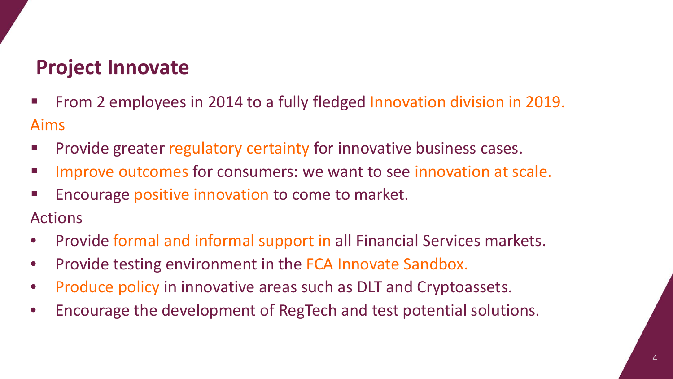### **Project Innovate**

- **Fig. 2** From 2 employees in 2014 to a fully fledged Innovation division in 2019. Aims
- Provide greater regulatory certainty for innovative business cases.
- **IMPROVE OUTCOMES for consumers: we want to see innovation at scale.**
- **Encourage positive innovation to come to market.**

Actions

- Provide formal and informal support in all Financial Services markets.
- Provide testing environment in the FCA Innovate Sandbox.
- Produce policy in innovative areas such as DLT and Cryptoassets.
- Encourage the development of RegTech and test potential solutions.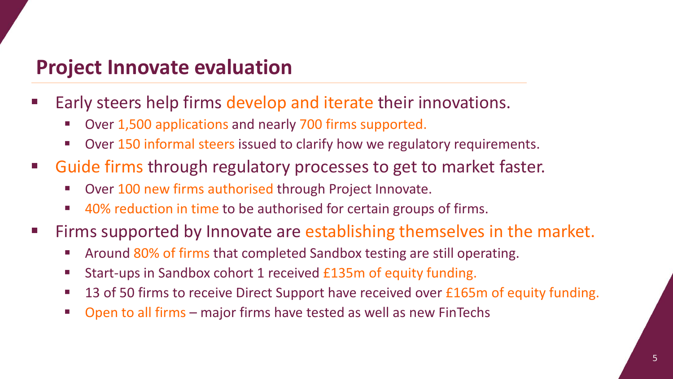### **Project Innovate evaluation**

- Early steers help firms develop and iterate their innovations.
	- Over 1,500 applications and nearly 700 firms supported.
	- **Diam-** Over 150 informal steers issued to clarify how we regulatory requirements.
- Guide firms through regulatory processes to get to market faster.
	- Over 100 new firms authorised through Project Innovate.
	- 40% reduction in time to be authorised for certain groups of firms.
- **Firms supported by Innovate are establishing themselves in the market.** 
	- Around 80% of firms that completed Sandbox testing are still operating.
	- Start-ups in Sandbox cohort 1 received £135m of equity funding.
	- 13 of 50 firms to receive Direct Support have received over £165m of equity funding.
	- Open to all firms major firms have tested as well as new FinTechs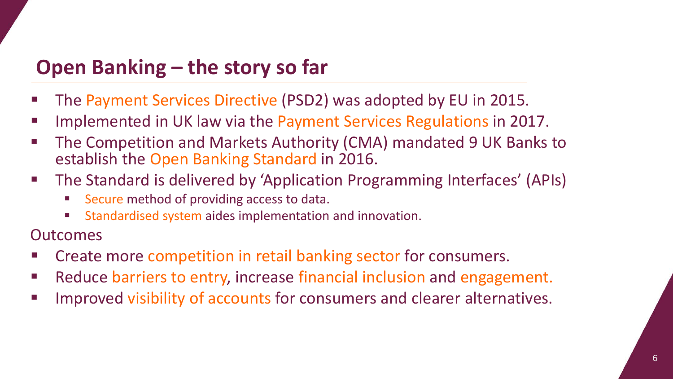## **Open Banking – the story so far**

- The Payment Services Directive (PSD2) was adopted by EU in 2015.
- **IMPLEET 19 Implemented in UK law via the Payment Services Regulations in 2017.**
- **The Competition and Markets Authority (CMA) mandated 9 UK Banks to** establish the Open Banking Standard in 2016.
- The Standard is delivered by 'Application Programming Interfaces' (APIs)
	- Secure method of providing access to data.
	- **Standardised system aides implementation and innovation.**

**Outcomes** 

- **EXP** Create more competition in retail banking sector for consumers.
- **Reduce barriers to entry, increase financial inclusion and engagement.**
- Improved visibility of accounts for consumers and clearer alternatives.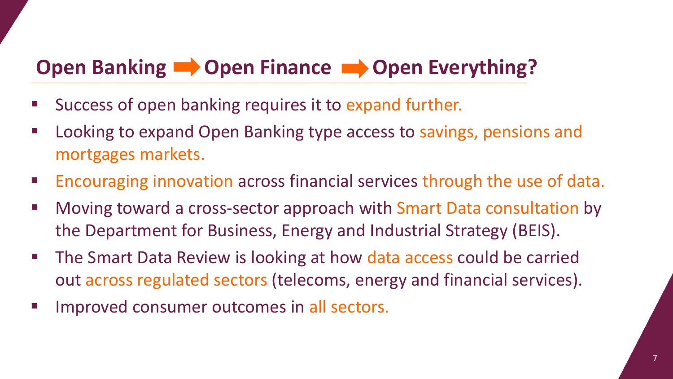# **Open Banking Copen Finance Copen Everything?**

- **Success of open banking requires it to expand further.**
- Looking to expand Open Banking type access to savings, pensions and mortgages markets.
- **Encouraging innovation across financial services through the use of data.**
- Moving toward a cross-sector approach with Smart Data consultation by the Department for Business, Energy and Industrial Strategy (BEIS).
- The Smart Data Review is looking at how data access could be carried out across regulated sectors (telecoms, energy and financial services).
- **IMPROVED CONSUMER OUTCOMES IN All Sectors.**